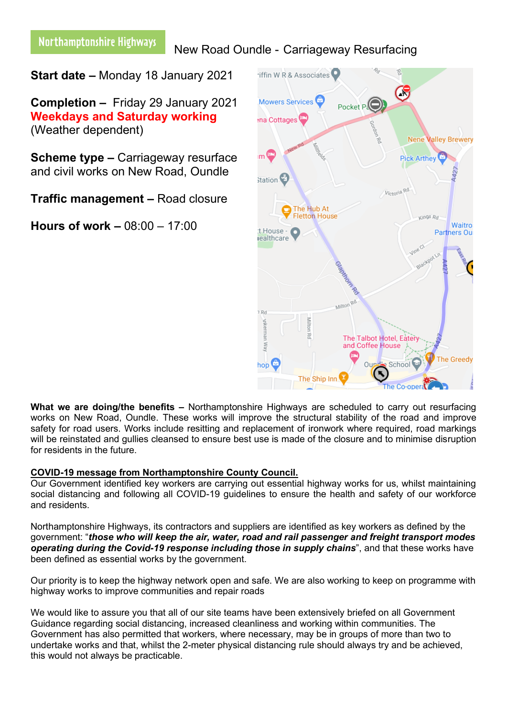# Northamptonshire Highways

## New Road Oundle - Carriageway Resurfacing

**Start date –** Monday 18 January 2021

**Completion –** Friday 29 January 2021 **Weekdays and Saturday working** (Weather dependent)

**Scheme type –** Carriageway resurface and civil works on New Road, Oundle

**Traffic management –** Road closure

**Hours of work –** 08:00 – 17:00



**What we are doing/the benefits –** Northamptonshire Highways are scheduled to carry out resurfacing works on New Road, Oundle. These works will improve the structural stability of the road and improve safety for road users. Works include resitting and replacement of ironwork where required, road markings will be reinstated and gullies cleansed to ensure best use is made of the closure and to minimise disruption for residents in the future.

### **COVID-19 message from Northamptonshire County Council.**

Our Government identified key workers are carrying out essential highway works for us, whilst maintaining social distancing and following all COVID-19 guidelines to ensure the health and safety of our workforce and residents.

Northamptonshire Highways, its contractors and suppliers are identified as key workers as defined by the government: "*those who will keep the air, water, road and rail passenger and freight transport modes operating during the Covid-19 response including those in supply chains*", and that these works have been defined as essential works by the government.

Our priority is to keep the highway network open and safe. We are also working to keep on programme with highway works to improve communities and repair roads

We would like to assure you that all of our site teams have been extensively briefed on all Government Guidance regarding social distancing, increased cleanliness and working within communities. The Government has also permitted that workers, where necessary, may be in groups of more than two to undertake works and that, whilst the 2-meter physical distancing rule should always try and be achieved, this would not always be practicable.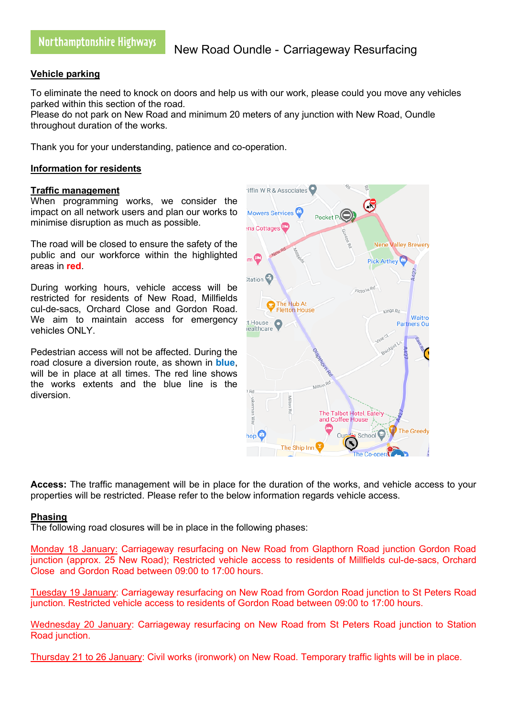### **Vehicle parking**

To eliminate the need to knock on doors and help us with our work, please could you move any vehicles parked within this section of the road.

Please do not park on New Road and minimum 20 meters of any junction with New Road, Oundle throughout duration of the works.

Thank you for your understanding, patience and co-operation.

#### **Information for residents**

#### **Traffic management**

When programming works, we consider the impact on all network users and plan our works to minimise disruption as much as possible.

The road will be closed to ensure the safety of the public and our workforce within the highlighted areas in **red**.

During working hours, vehicle access will be restricted for residents of New Road, Millfields cul-de-sacs, Orchard Close and Gordon Road. We aim to maintain access for emergency vehicles ONLY.

Pedestrian access will not be affected. During the road closure a diversion route, as shown in **blue**, will be in place at all times. The red line shows the works extents and the blue line is the diversion.



**Access:** The traffic management will be in place for the duration of the works, and vehicle access to your properties will be restricted. Please refer to the below information regards vehicle access.

### **Phasing**

The following road closures will be in place in the following phases:

Monday 18 January: Carriageway resurfacing on New Road from Glapthorn Road junction Gordon Road junction (approx. 25 New Road); Restricted vehicle access to residents of Millfields cul-de-sacs, Orchard Close and Gordon Road between 09:00 to 17:00 hours.

Tuesday 19 January: Carriageway resurfacing on New Road from Gordon Road junction to St Peters Road junction. Restricted vehicle access to residents of Gordon Road between 09:00 to 17:00 hours.

Wednesday 20 January: Carriageway resurfacing on New Road from St Peters Road junction to Station Road junction.

Thursday 21 to 26 January: Civil works (ironwork) on New Road. Temporary traffic lights will be in place.